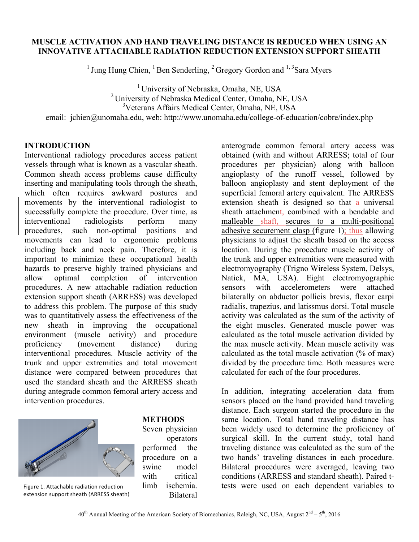### **MUSCLE ACTIVATION AND HAND TRAVELING DISTANCE IS REDUCED WHEN USING AN INNOVATIVE ATTACHABLE RADIATION REDUCTION EXTENSION SUPPORT SHEATH**

<sup>1</sup> Jung Hung Chien, <sup>1</sup> Ben Senderling, <sup>2</sup> Gregory Gordon and <sup>1, 3</sup> Sara Myers

<sup>1</sup> University of Nebraska, Omaha, NE, USA <sup>2</sup> University of Nebraska Medical Center, Omaha, NE, USA 3 Veterans Affairs Medical Center, Omaha, NE, USA

email: ichien@unomaha.edu, web: http://www.unomaha.edu/college-of-education/cobre/index.php

## **INTRODUCTION**

Interventional radiology procedures access patient vessels through what is known as a vascular sheath. Common sheath access problems cause difficulty inserting and manipulating tools through the sheath, which often requires awkward postures and movements by the interventional radiologist to successfully complete the procedure. Over time, as interventional radiologists perform many procedures, such non-optimal positions and movements can lead to ergonomic problems including back and neck pain. Therefore, it is important to minimize these occupational health hazards to preserve highly trained physicians and allow optimal completion of intervention procedures. A new attachable radiation reduction extension support sheath (ARRESS) was developed to address this problem. The purpose of this study was to quantitatively assess the effectiveness of the new sheath in improving the occupational environment (muscle activity) and procedure proficiency (movement distance) during interventional procedures. Muscle activity of the trunk and upper extremities and total movement distance were compared between procedures that used the standard sheath and the ARRESS sheath during antegrade common femoral artery access and intervention procedures.



extension support sheath (ARRESS sheath)

#### **METHODS**

Seven physician operators performed the procedure on a swine model with critical limb ischemia. Bilateral

anterograde common femoral artery access was obtained (with and without ARRESS; total of four procedures per physician) along with balloon angioplasty of the runoff vessel, followed by balloon angioplasty and stent deployment of the superficial femoral artery equivalent. The ARRESS extension sheath is designed so that a universal sheath attachment, combined with a bendable and malleable shaft, secures to a multi-positional adhesive securement clasp (figure 1); thus allowing physicians to adjust the sheath based on the access location. During the procedure muscle activity of the trunk and upper extremities were measured with electromyography (Trigno Wireless System, Delsys, Natick, MA, USA). Eight electromyographic sensors with accelerometers were attached bilaterally on abductor pollicis brevis, flexor carpi radialis, trapezius, and latissmus dorsi. Total muscle activity was calculated as the sum of the activity of the eight muscles. Generated muscle power was calculated as the total muscle activation divided by the max muscle activity. Mean muscle activity was calculated as the total muscle activation (% of max) divided by the procedure time. Both measures were calculated for each of the four procedures.

In addition, integrating acceleration data from sensors placed on the hand provided hand traveling distance. Each surgeon started the procedure in the same location. Total hand traveling distance has been widely used to determine the proficiency of surgical skill. In the current study, total hand traveling distance was calculated as the sum of the two hands' traveling distances in each procedure. Bilateral procedures were averaged, leaving two conditions (ARRESS and standard sheath). Paired t-Figure 1. Attachable radiation reduction limb ischemia. tests were used on each dependent variables to